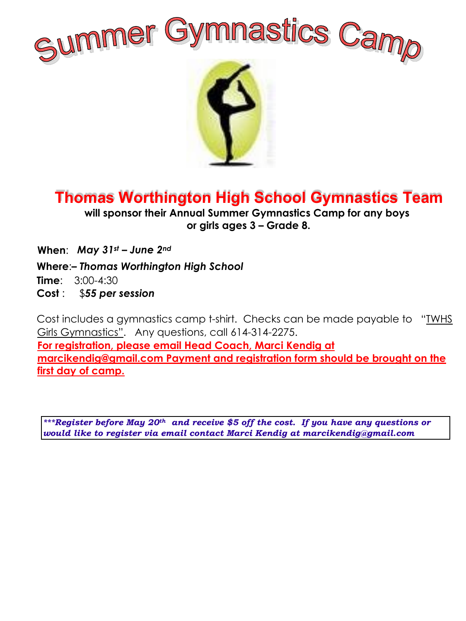



## **Thomas Worthington High School Gymnastics Team**

**will sponsor their Annual Summer Gymnastics Camp for any boys or girls ages 3 – Grade 8.**

**When**: *May 31st – June 2nd* 

**Where**:*– Thomas Worthington High School*

**Time**: 3:00-4:30

**Cost** : \$*55 per session*

Cost includes a gymnastics camp t-shirt. Checks can be made payable to "TWHS Girls Gymnastics". Any questions, call 614-314-2275. **For registration, please email Head Coach, Marci Kendig at marcikendig@gmail.com Payment and registration form should be brought on the first day of camp.**

*\*\*\*Register before May 20th and receive \$5 off the cost. If you have any questions or would like to register via email contact Marci Kendig at marcikendig@gmail.com*